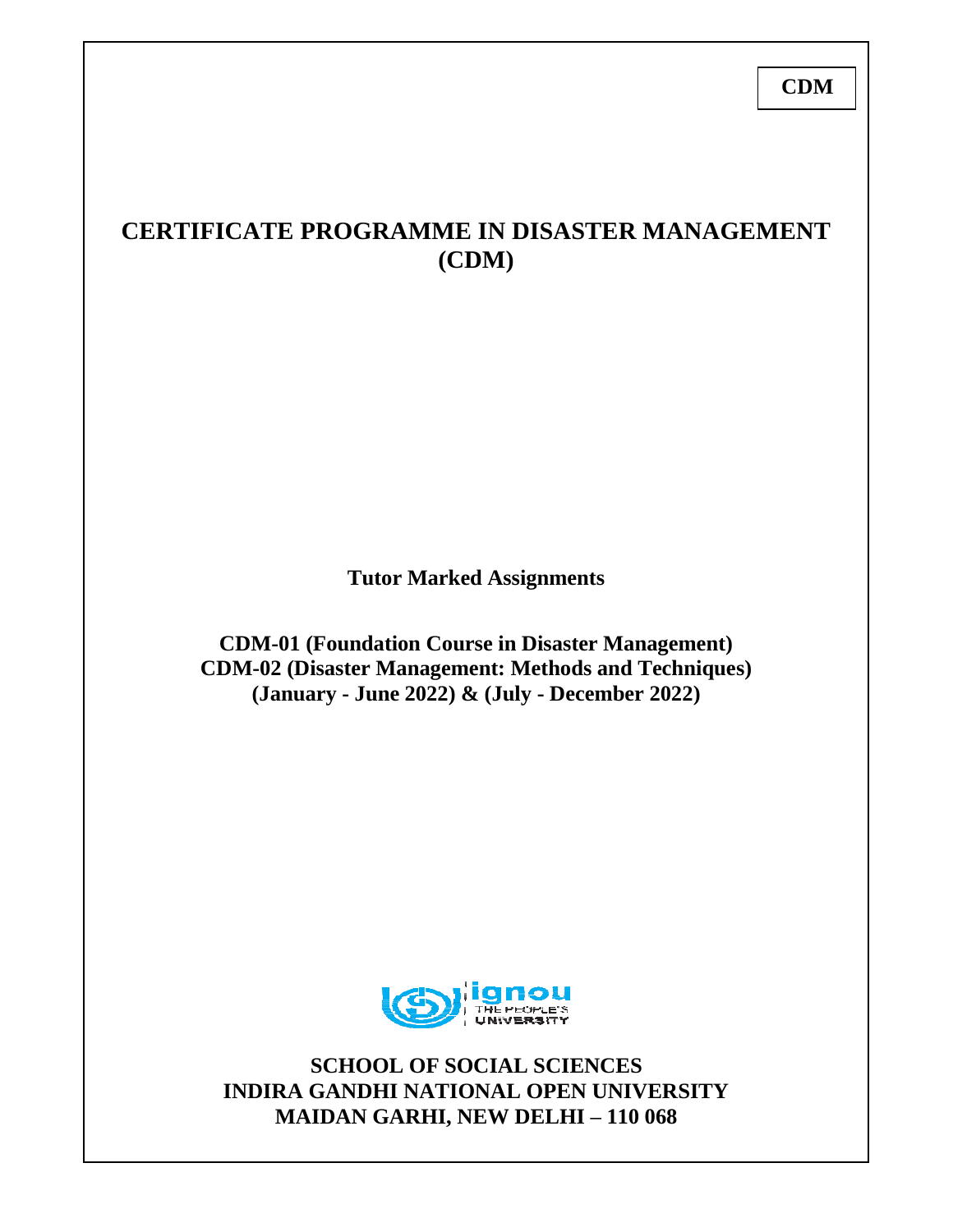# **CDM**

# **CERTIFICATE PROGRAMME IN DISASTER MANAGEMENT (CDM)**

**Tutor Marked Assignments**

**CDM-01 (Foundation Course in Disaster Management) CDM-02 (Disaster Management: Methods and Techniques) (January - June 2022) & (July - December 2022)**



**SCHOOL OF SOCIAL SCIENCES INDIRA GANDHI NATIONAL OPEN UNIVERSITY MAIDAN GARHI, NEW DELHI – 110 068**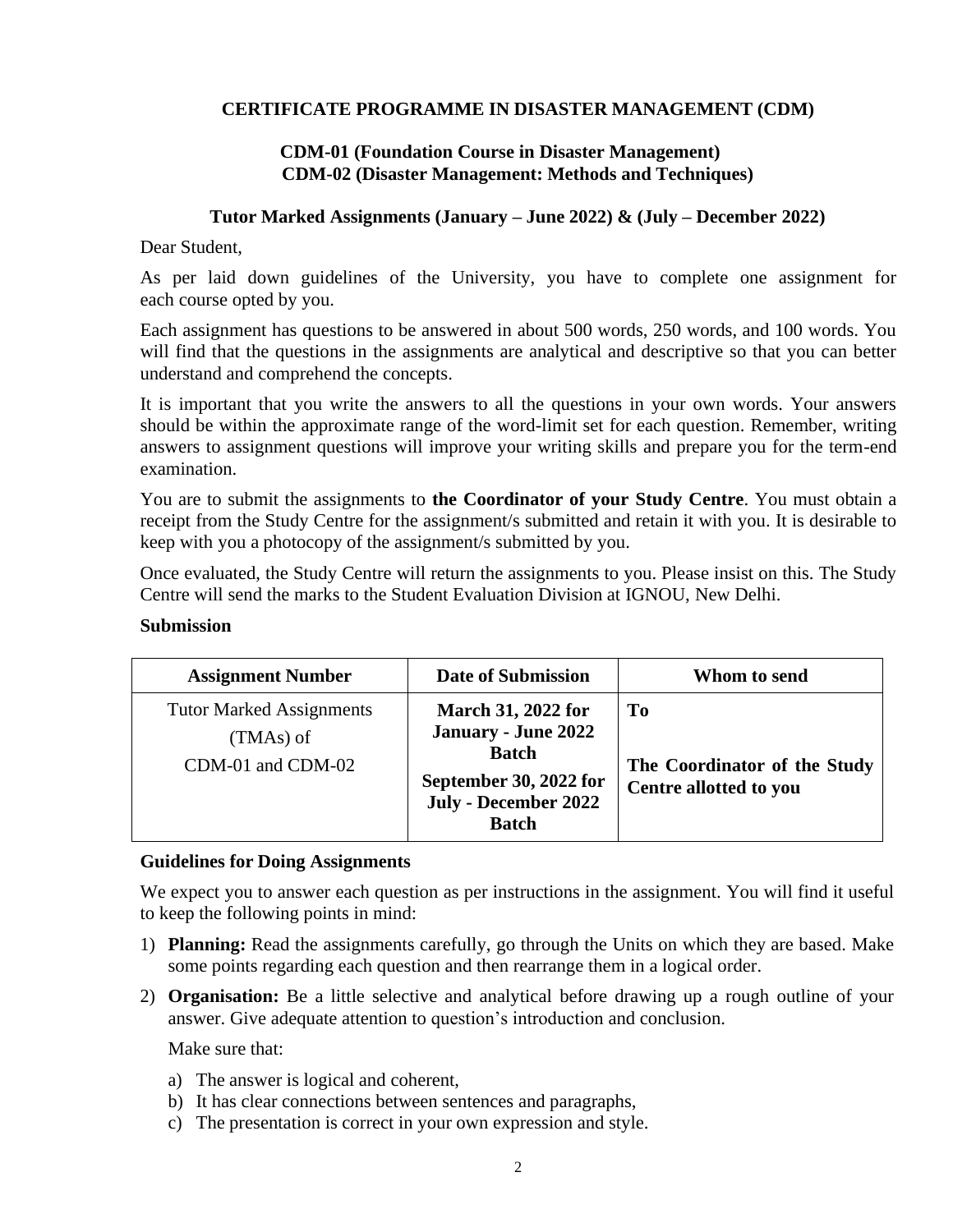## **CERTIFICATE PROGRAMME IN DISASTER MANAGEMENT (CDM)**

### **CDM-01 (Foundation Course in Disaster Management) CDM-02 (Disaster Management: Methods and Techniques)**

#### **Tutor Marked Assignments (January – June 2022) & (July – December 2022)**

Dear Student,

As per laid down guidelines of the University, you have to complete one assignment for each course opted by you.

Each assignment has questions to be answered in about 500 words, 250 words, and 100 words. You will find that the questions in the assignments are analytical and descriptive so that you can better understand and comprehend the concepts.

It is important that you write the answers to all the questions in your own words. Your answers should be within the approximate range of the word-limit set for each question. Remember, writing answers to assignment questions will improve your writing skills and prepare you for the term-end examination.

You are to submit the assignments to **the Coordinator of your Study Centre**. You must obtain a receipt from the Study Centre for the assignment/s submitted and retain it with you. It is desirable to keep with you a photocopy of the assignment/s submitted by you.

Once evaluated, the Study Centre will return the assignments to you. Please insist on this. The Study Centre will send the marks to the Student Evaluation Division at IGNOU, New Delhi.

#### **Submission**

| <b>Assignment Number</b>                                            | <b>Date of Submission</b>                                                                                                          | Whom to send                                                 |
|---------------------------------------------------------------------|------------------------------------------------------------------------------------------------------------------------------------|--------------------------------------------------------------|
| <b>Tutor Marked Assignments</b><br>$(TMAs)$ of<br>CDM-01 and CDM-02 | <b>March 31, 2022 for</b><br>January - June 2022<br><b>Batch</b><br>September 30, 2022 for<br>July - December 2022<br><b>Batch</b> | To<br>The Coordinator of the Study<br>Centre allotted to you |

### **Guidelines for Doing Assignments**

We expect you to answer each question as per instructions in the assignment. You will find it useful to keep the following points in mind:

- 1) **Planning:** Read the assignments carefully, go through the Units on which they are based. Make some points regarding each question and then rearrange them in a logical order.
- 2) **Organisation:** Be a little selective and analytical before drawing up a rough outline of your answer. Give adequate attention to question's introduction and conclusion.

Make sure that:

- a) The answer is logical and coherent,
- b) It has clear connections between sentences and paragraphs,
- c) The presentation is correct in your own expression and style.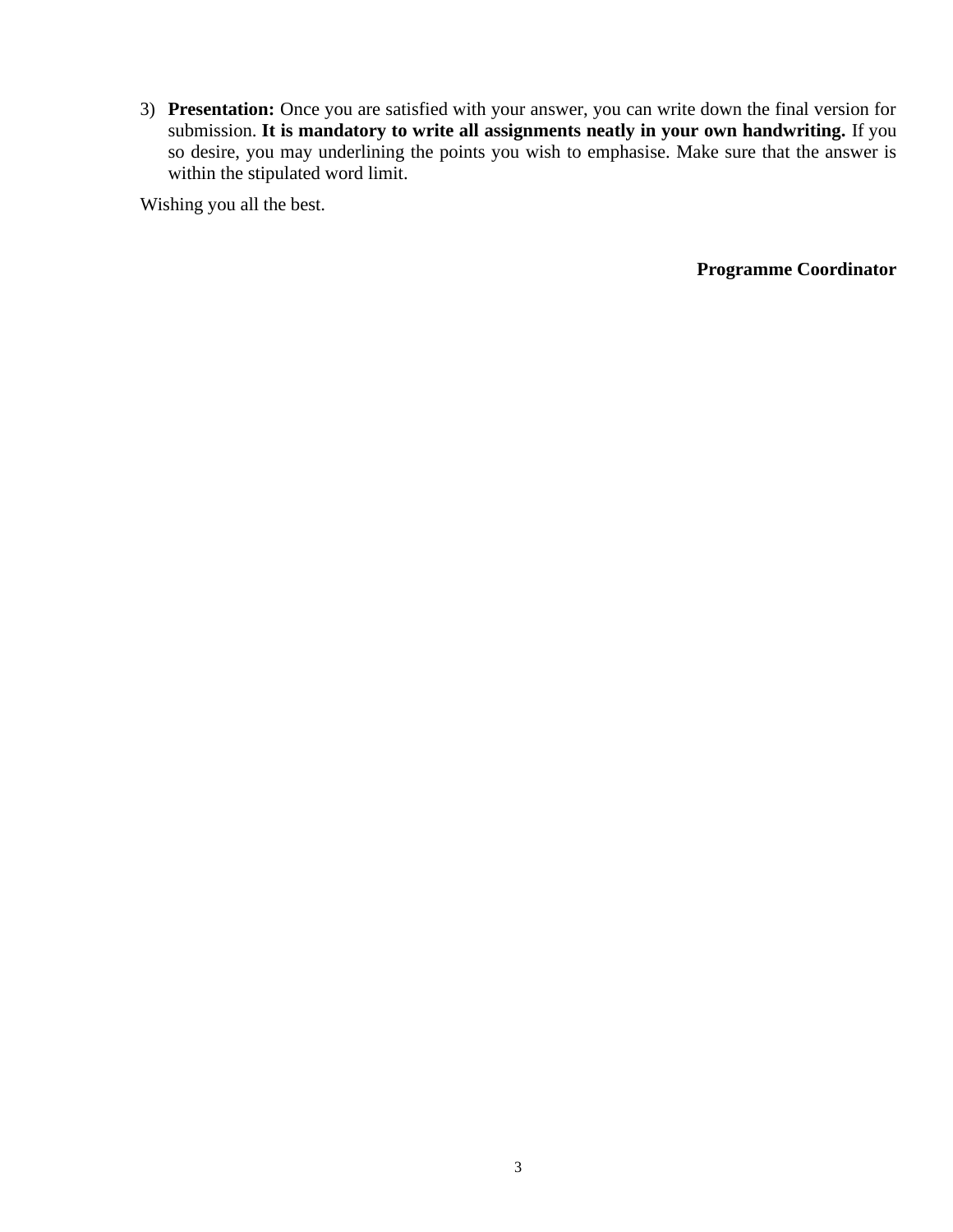3) **Presentation:** Once you are satisfied with your answer, you can write down the final version for submission. **It is mandatory to write all assignments neatly in your own handwriting.** If you so desire, you may underlining the points you wish to emphasise. Make sure that the answer is within the stipulated word limit.

Wishing you all the best.

**Programme Coordinator**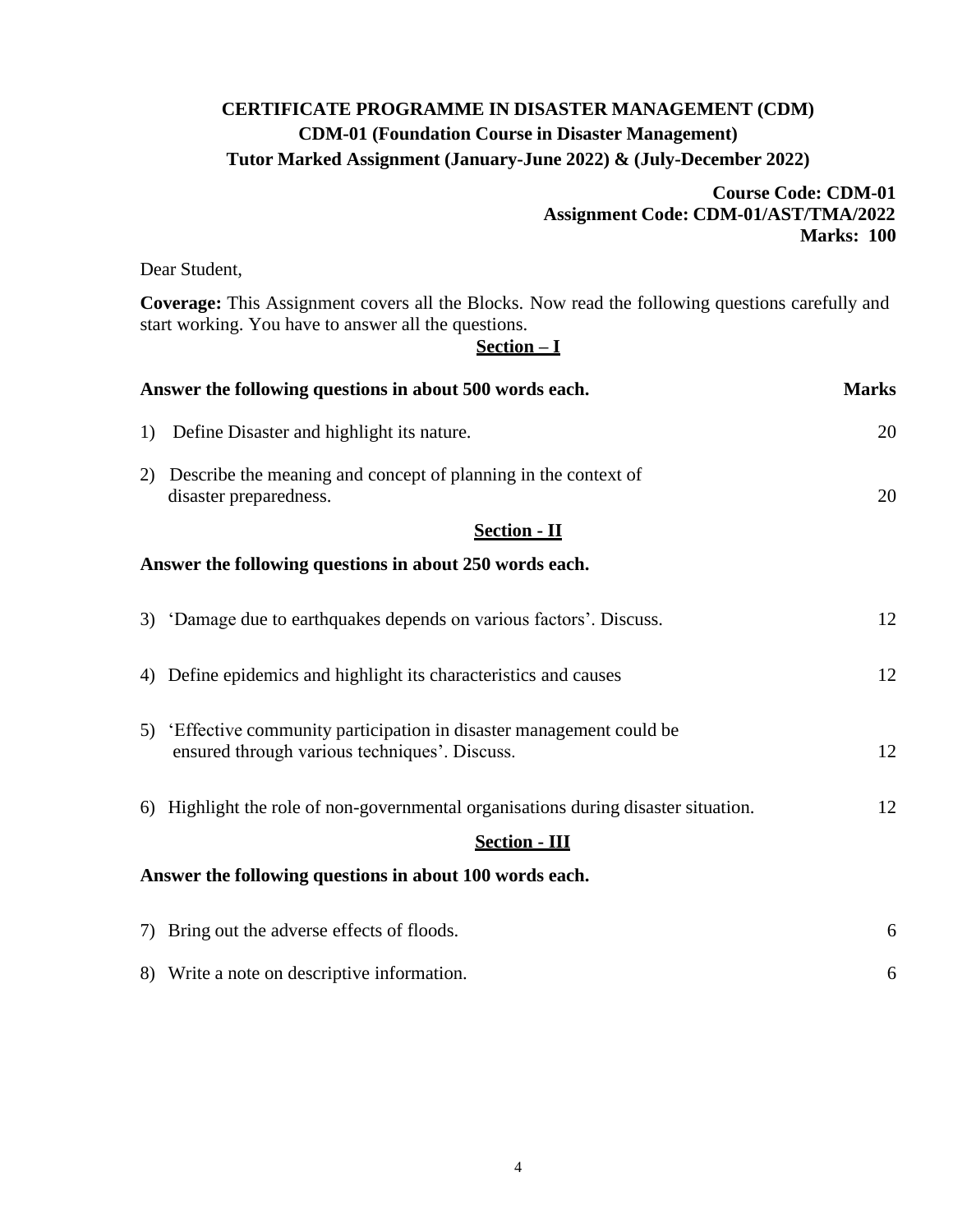# **CERTIFICATE PROGRAMME IN DISASTER MANAGEMENT (CDM) CDM-01 (Foundation Course in Disaster Management) Tutor Marked Assignment (January-June 2022) & (July-December 2022)**

# **Course Code: CDM-01 Assignment Code: CDM-01/AST/TMA/2022 Marks: 100**

Dear Student,

**Coverage:** This Assignment covers all the Blocks. Now read the following questions carefully and start working. You have to answer all the questions.

### **Section – I**

| Answer the following questions in about 500 words each. |                                                                                                                        | <b>Marks</b> |
|---------------------------------------------------------|------------------------------------------------------------------------------------------------------------------------|--------------|
| 1)                                                      | Define Disaster and highlight its nature.                                                                              | 20           |
| 2)                                                      | Describe the meaning and concept of planning in the context of<br>disaster preparedness.                               | 20           |
|                                                         | <b>Section - II</b>                                                                                                    |              |
|                                                         | Answer the following questions in about 250 words each.                                                                |              |
|                                                         | 3) Damage due to earthquakes depends on various factors'. Discuss.                                                     | 12           |
|                                                         | 4) Define epidemics and highlight its characteristics and causes                                                       | 12           |
|                                                         | 5) 'Effective community participation in disaster management could be<br>ensured through various techniques'. Discuss. | 12           |
|                                                         | 6) Highlight the role of non-governmental organisations during disaster situation.                                     | 12           |
|                                                         | <b>Section - III</b>                                                                                                   |              |
|                                                         | Answer the following questions in about 100 words each.                                                                |              |
|                                                         | 7) Bring out the adverse effects of floods.                                                                            | 6            |
|                                                         | 8) Write a note on descriptive information.                                                                            | 6            |